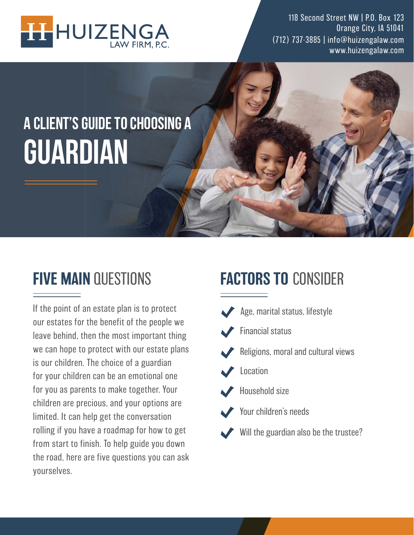

118 Second Street NW | P.O. Box 123 Orange City, IA 51041 (712) 737-3885 | info@huizengalaw.com www.huizengalaw.com

# A CLIENT'S GUIDE TO CHOOSING A **GUARDIAN**

## FIVE MAIN QUESTIONS

If the point of an estate plan is to protect our estates for the benefit of the people we leave behind, then the most important thing we can hope to protect with our estate plans is our children. The choice of a guardian for your children can be an emotional one for you as parents to make together. Your children are precious, and your options are limited. It can help get the conversation rolling if you have a roadmap for how to get from start to finish. To help guide you down the road, here are five questions you can ask yourselves.

# FACTORS TO CONSIDER

Age, marital status, lifestyle Financial status Religions, moral and cultural views Location Household size Your children's needs Will the guardian also be the trustee?